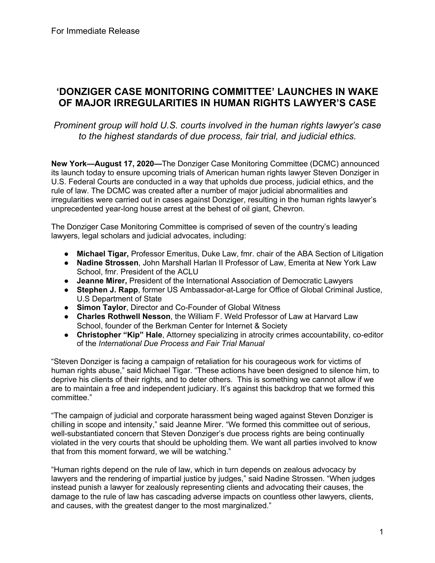## **'DONZIGER CASE MONITORING COMMITTEE' LAUNCHES IN WAKE OF MAJOR IRREGULARITIES IN HUMAN RIGHTS LAWYER'S CASE**

*Prominent group will hold U.S. courts involved in the human rights lawyer's case to the highest standards of due process, fair trial, and judicial ethics.*

**New York—August 17, 2020—**The Donziger Case Monitoring Committee (DCMC) announced its launch today to ensure upcoming trials of American human rights lawyer Steven Donziger in U.S. Federal Courts are conducted in a way that upholds due process, judicial ethics, and the rule of law. The DCMC was created after a number of major judicial abnormalities and irregularities were carried out in cases against Donziger, resulting in the human rights lawyer's unprecedented year-long house arrest at the behest of oil giant, Chevron.

The Donziger Case Monitoring Committee is comprised of seven of the country's leading lawyers, legal scholars and judicial advocates, including:

- **Michael Tigar,** Professor Emeritus, Duke Law, fmr. chair of the ABA Section of Litigation
- **Nadine Strossen**, John Marshall Harlan II Professor of Law, Emerita at New York Law School, fmr. President of the ACLU
- **Jeanne Mirer,** President of the International Association of Democratic Lawyers
- **Stephen J. Rapp**, former US Ambassador-at-Large for Office of Global Criminal Justice, U.S Department of State
- **Simon Taylor**, Director and Co-Founder of Global Witness
- **Charles Rothwell Nesson**, the William F. Weld Professor of Law at Harvard Law School, founder of the Berkman Center for Internet & Society
- **Christopher "Kip" Hale**, Attorney specializing in atrocity crimes accountability, co-editor of the *International Due Process and Fair Trial Manual*

"Steven Donziger is facing a campaign of retaliation for his courageous work for victims of human rights abuse," said Michael Tigar. "These actions have been designed to silence him, to deprive his clients of their rights, and to deter others. This is something we cannot allow if we are to maintain a free and independent judiciary. It's against this backdrop that we formed this committee."

"The campaign of judicial and corporate harassment being waged against Steven Donziger is chilling in scope and intensity," said Jeanne Mirer. "We formed this committee out of serious, well-substantiated concern that Steven Donziger's due process rights are being continually violated in the very courts that should be upholding them. We want all parties involved to know that from this moment forward, we will be watching."

"Human rights depend on the rule of law, which in turn depends on zealous advocacy by lawyers and the rendering of impartial justice by judges," said Nadine Strossen. "When judges instead punish a lawyer for zealously representing clients and advocating their causes, the damage to the rule of law has cascading adverse impacts on countless other lawyers, clients, and causes, with the greatest danger to the most marginalized."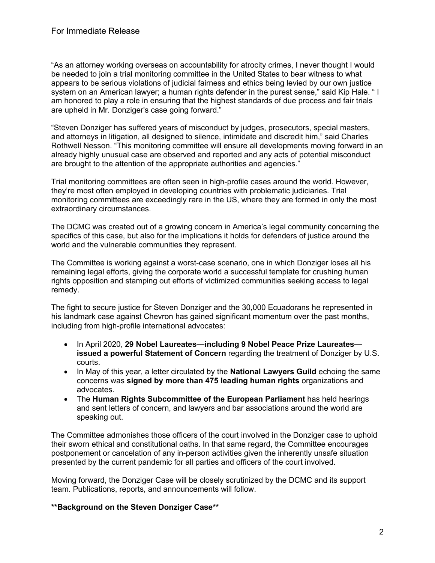"As an attorney working overseas on accountability for atrocity crimes, I never thought I would be needed to join a trial monitoring committee in the United States to bear witness to what appears to be serious violations of judicial fairness and ethics being levied by our own justice system on an American lawyer; a human rights defender in the purest sense," said Kip Hale. " I am honored to play a role in ensuring that the highest standards of due process and fair trials are upheld in Mr. Donziger's case going forward."

"Steven Donziger has suffered years of misconduct by judges, prosecutors, special masters, and attorneys in litigation, all designed to silence, intimidate and discredit him," said Charles Rothwell Nesson. "This monitoring committee will ensure all developments moving forward in an already highly unusual case are observed and reported and any acts of potential misconduct are brought to the attention of the appropriate authorities and agencies."

Trial monitoring committees are often seen in high-profile cases around the world. However, they're most often employed in developing countries with problematic judiciaries. Trial monitoring committees are exceedingly rare in the US, where they are formed in only the most extraordinary circumstances.

The DCMC was created out of a growing concern in America's legal community concerning the specifics of this case, but also for the implications it holds for defenders of justice around the world and the vulnerable communities they represent.

The Committee is working against a worst-case scenario, one in which Donziger loses all his remaining legal efforts, giving the corporate world a successful template for crushing human rights opposition and stamping out efforts of victimized communities seeking access to legal remedy.

The fight to secure justice for Steven Donziger and the 30,000 Ecuadorans he represented in his landmark case against Chevron has gained significant momentum over the past months, including from high-profile international advocates:

- In April 2020, **29 Nobel Laureates—including 9 Nobel Peace Prize Laureates issued a powerful Statement of Concern** regarding the treatment of Donziger by U.S. courts.
- In May of this year, a letter circulated by the **National Lawyers Guild** echoing the same concerns was **signed by more than 475 leading human rights** organizations and advocates.
- The **Human Rights Subcommittee of the European Parliament** has held hearings and sent letters of concern, and lawyers and bar associations around the world are speaking out.

The Committee admonishes those officers of the court involved in the Donziger case to uphold their sworn ethical and constitutional oaths. In that same regard, the Committee encourages postponement or cancelation of any in-person activities given the inherently unsafe situation presented by the current pandemic for all parties and officers of the court involved.

Moving forward, the Donziger Case will be closely scrutinized by the DCMC and its support team. Publications, reports, and announcements will follow.

**\*\*Background on the Steven Donziger Case\*\***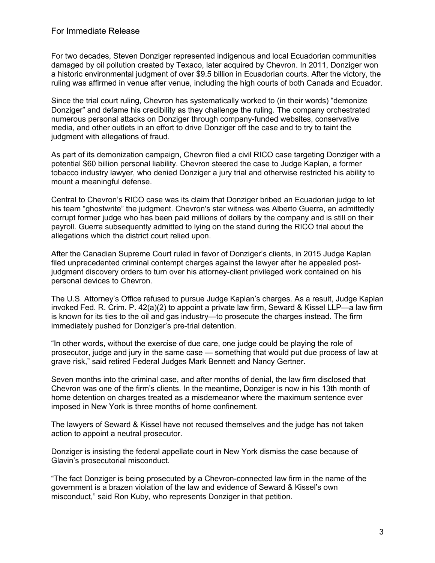For two decades, Steven Donziger represented indigenous and local Ecuadorian communities damaged by oil pollution created by Texaco, later acquired by Chevron. In 2011, Donziger won a historic environmental judgment of over \$9.5 billion in Ecuadorian courts. After the victory, the ruling was affirmed in venue after venue, including the high courts of both Canada and Ecuador.

Since the trial court ruling, Chevron has systematically worked to (in their words) "demonize Donziger" and defame his credibility as they challenge the ruling. The company orchestrated numerous personal attacks on Donziger through company-funded websites, conservative media, and other outlets in an effort to drive Donziger off the case and to try to taint the judgment with allegations of fraud.

As part of its demonization campaign, Chevron filed a civil RICO case targeting Donziger with a potential \$60 billion personal liability. Chevron steered the case to Judge Kaplan, a former tobacco industry lawyer, who denied Donziger a jury trial and otherwise restricted his ability to mount a meaningful defense.

Central to Chevron's RICO case was its claim that Donziger bribed an Ecuadorian judge to let his team "ghostwrite" the judgment. Chevron's star witness was Alberto Guerra, an admittedly corrupt former judge who has been paid millions of dollars by the company and is still on their payroll. Guerra subsequently admitted to lying on the stand during the RICO trial about the allegations which the district court relied upon.

After the Canadian Supreme Court ruled in favor of Donziger's clients, in 2015 Judge Kaplan filed unprecedented criminal contempt charges against the lawyer after he appealed postjudgment discovery orders to turn over his attorney-client privileged work contained on his personal devices to Chevron.

The U.S. Attorney's Office refused to pursue Judge Kaplan's charges. As a result, Judge Kaplan invoked Fed. R. Crim. P. 42(a)(2) to appoint a private law firm, Seward & Kissel LLP—a law firm is known for its ties to the oil and gas industry—to prosecute the charges instead. The firm immediately pushed for Donziger's pre-trial detention.

"In other words, without the exercise of due care, one judge could be playing the role of prosecutor, judge and jury in the same case — something that would put due process of law at grave risk," said retired Federal Judges Mark Bennett and Nancy Gertner.

Seven months into the criminal case, and after months of denial, the law firm disclosed that Chevron was one of the firm's clients. In the meantime, Donziger is now in his 13th month of home detention on charges treated as a misdemeanor where the maximum sentence ever imposed in New York is three months of home confinement.

The lawyers of Seward & Kissel have not recused themselves and the judge has not taken action to appoint a neutral prosecutor.

Donziger is insisting the federal appellate court in New York dismiss the case because of Glavin's prosecutorial misconduct.

"The fact Donziger is being prosecuted by a Chevron-connected law firm in the name of the government is a brazen violation of the law and evidence of Seward & Kissel's own misconduct," said Ron Kuby, who represents Donziger in that petition.